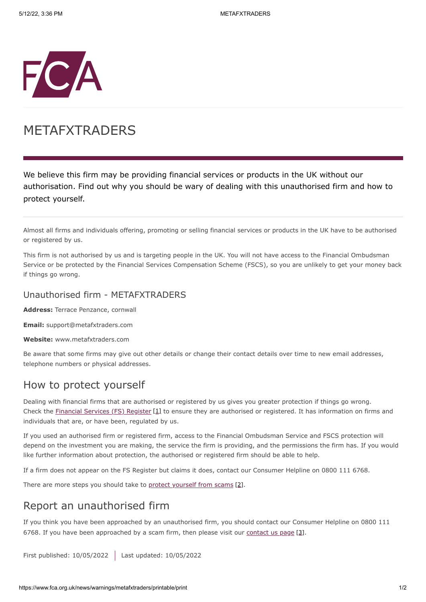

# METAFXTRADERS

We believe this firm may be providing financial services or products in the UK without our authorisation. Find out why you should be wary of dealing with this unauthorised firm and how to protect yourself.

Almost all firms and individuals offering, promoting or selling financial services or products in the UK have to be authorised or registered by us.

This firm is not authorised by us and is targeting people in the UK. You will not have access to the Financial Ombudsman Service or be protected by the Financial Services Compensation Scheme (FSCS), so you are unlikely to get your money back if things go wrong.

#### Unauthorised firm - METAFXTRADERS

**Address:** Terrace Penzance, cornwall

**Email:** support@metafxtraders.com

**Website:** www.metafxtraders.com

Be aware that some firms may give out other details or change their contact details over time to new email addresses, telephone numbers or physical addresses.

### How to protect yourself

Dealing with financial firms that are authorised or registered by us gives you greater protection if things go wrong. Check the [Financial Services \(FS\) Register](https://register.fca.org.uk/) [1] to ensure they are authorised or registered. It has information on firms and individuals that are, or have been, regulated by us.

If you used an authorised firm or registered firm, access to the Financial Ombudsman Service and FSCS protection will depend on the investment you are making, the service the firm is providing, and the permissions the firm has. If you would like further information about protection, the authorised or registered firm should be able to help.

If a firm does not appear on the FS Register but claims it does, contact our Consumer Helpline on 0800 111 6768.

There are more steps you should take to [protect yourself from scams](https://www.fca.org.uk/consumers/avoid-scams-unauthorised-firms) [2].

## Report an unauthorised firm

If you think you have been approached by an unauthorised firm, you should contact our Consumer Helpline on 0800 111 6768. If you have been approached by a scam firm, then please visit our [contact us page](https://www.fca.org.uk/contact) [3].

First published: 10/05/2022 Last updated: 10/05/2022